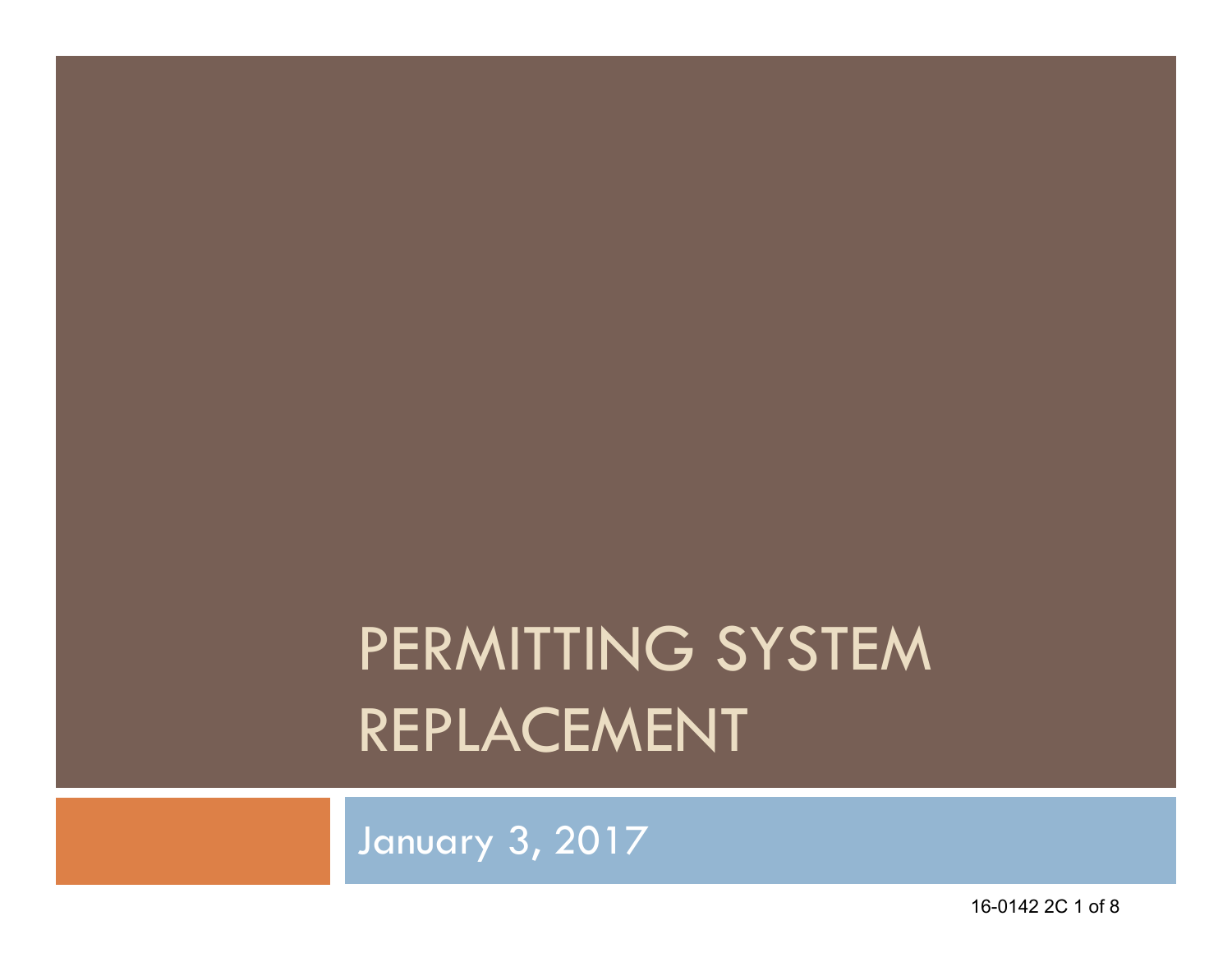# PERMITTING SYSTEM REPLACEMENT

January 3, 2017

16-0142 2C 1 of 8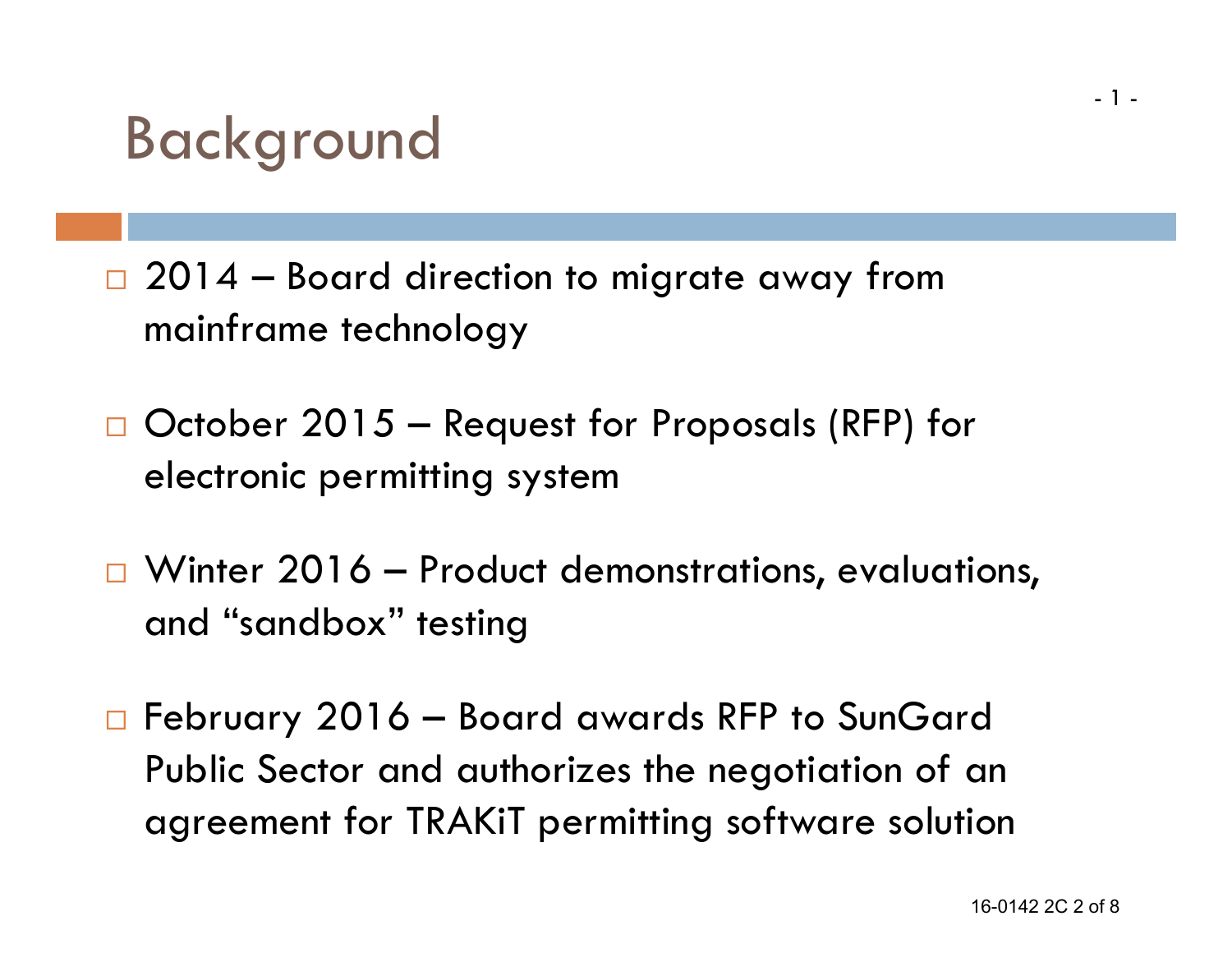### Background

- $\Box$  2014  $-$  Board direction to migrate away from mainframe technology
- □ October 2015 Request for Proposals (RFP) for electronic permitting system
- $\Box$  Winter 2016 Product demonstrations, evaluations, and "sandbox" testing
- □ February 2016 Board awards RFP to SunGard Public Sector and authorizes the negotiation of an agreement for TRAKiT permitting software solution

- 1 -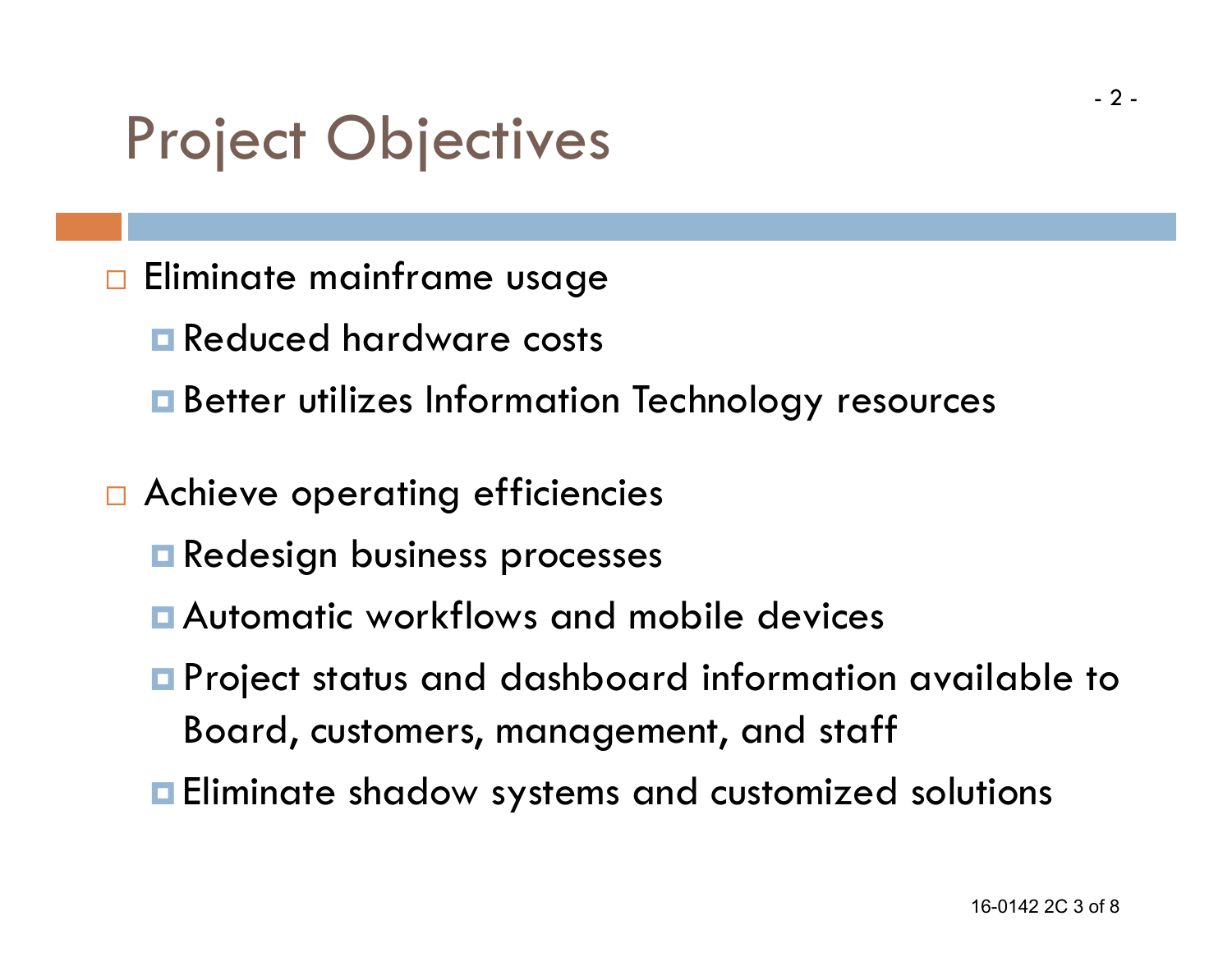# Project Objectives

- $\Box$  Eliminate mainframe usage
	- **E** Reduced hardware costs
	- **E** Better utilizes Information Technology resources
- □ Achieve operating efficiencies
	- **Redesign business processes**
	- Automatic workflows and mobile devices
	- **P** Project status and dashboard information available to Board, customers, management, and staff
	- **Eliminate shadow systems and customized solutions**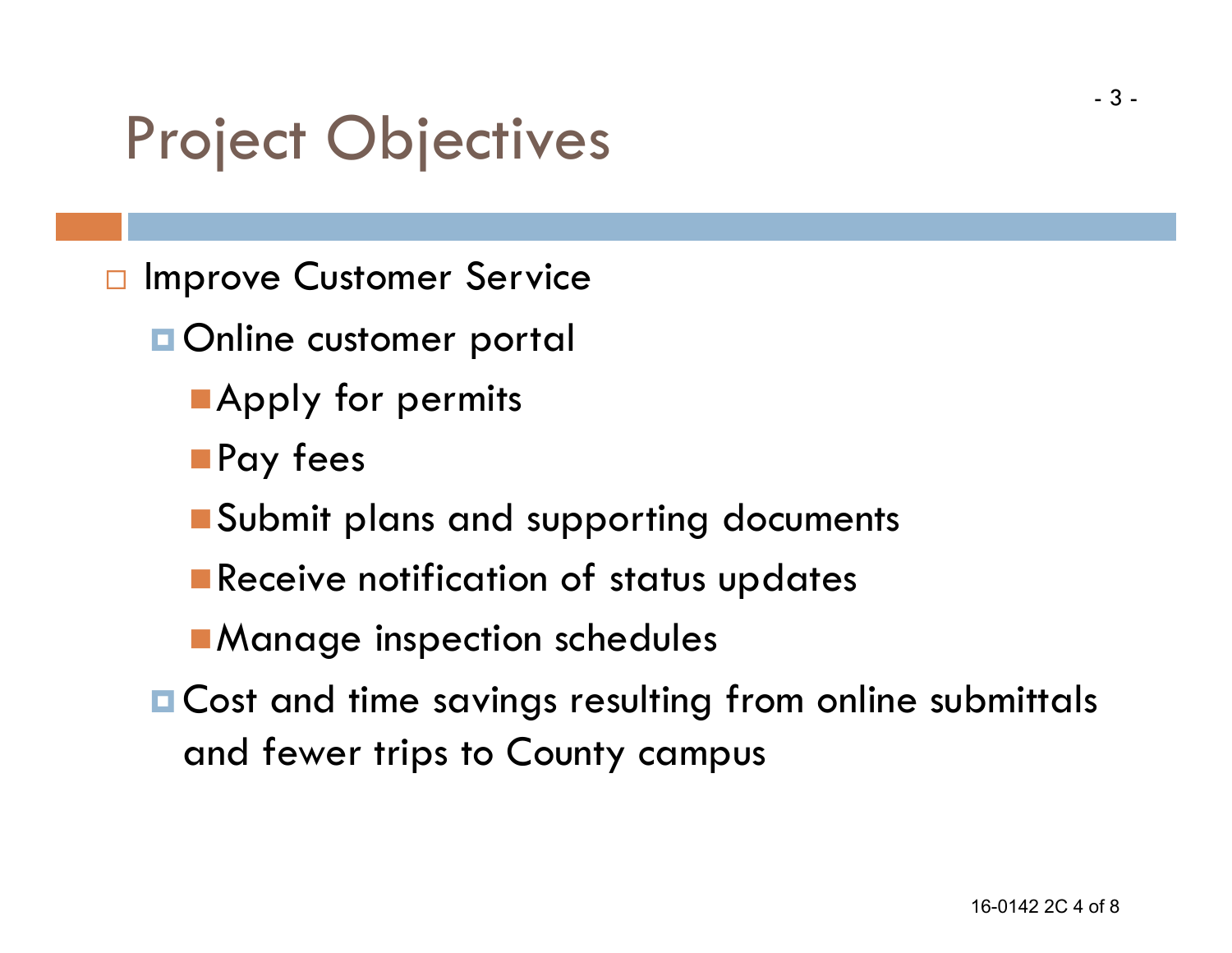# Project Objectives

- $\Box$  Improve Customer Service
	- **Online customer portal** 
		- **Apply for permits**
		- **Pay fees**
		- **Submit plans and supporting documents**
		- **Receive notification of status updates**
		- **Manage inspection schedules**
	- **E** Cost and time savings resulting from online submittals and fewer trips to County campus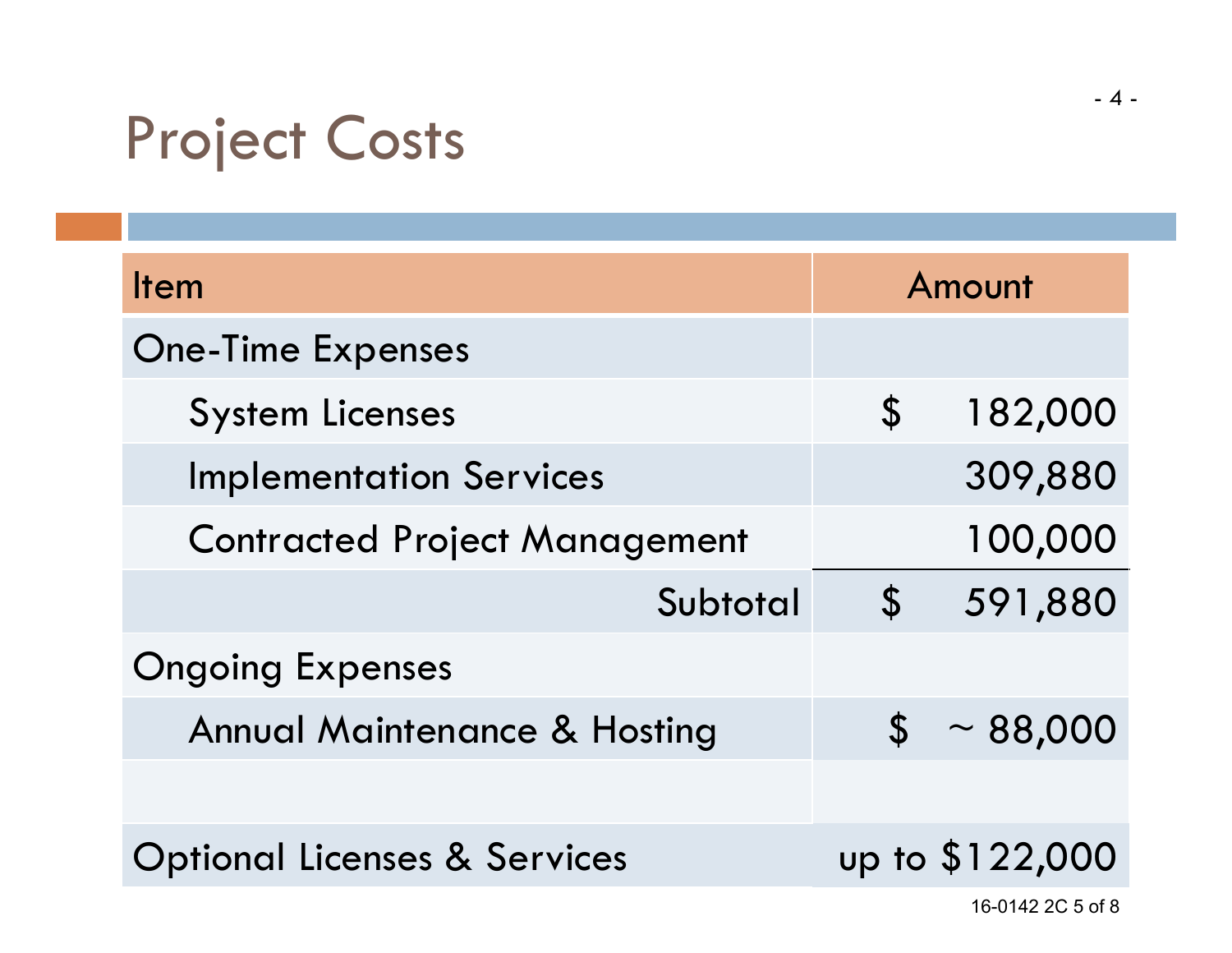# Project Costs

| <b>Item</b>                             | Amount                     |                 |
|-----------------------------------------|----------------------------|-----------------|
| <b>One-Time Expenses</b>                |                            |                 |
| <b>System Licenses</b>                  | $\boldsymbol{\mathsf{S}}$  | 182,000         |
| <b>Implementation Services</b>          |                            | 309,880         |
| <b>Contracted Project Management</b>    |                            | 100,000         |
| Subtotal                                | $\boldsymbol{\mathcal{S}}$ | 591,880         |
| <b>Ongoing Expenses</b>                 |                            |                 |
| <b>Annual Maintenance &amp; Hosting</b> |                            | $$ \sim 88,000$ |
|                                         |                            |                 |
| <b>Optional Licenses &amp; Services</b> |                            | up to \$122,000 |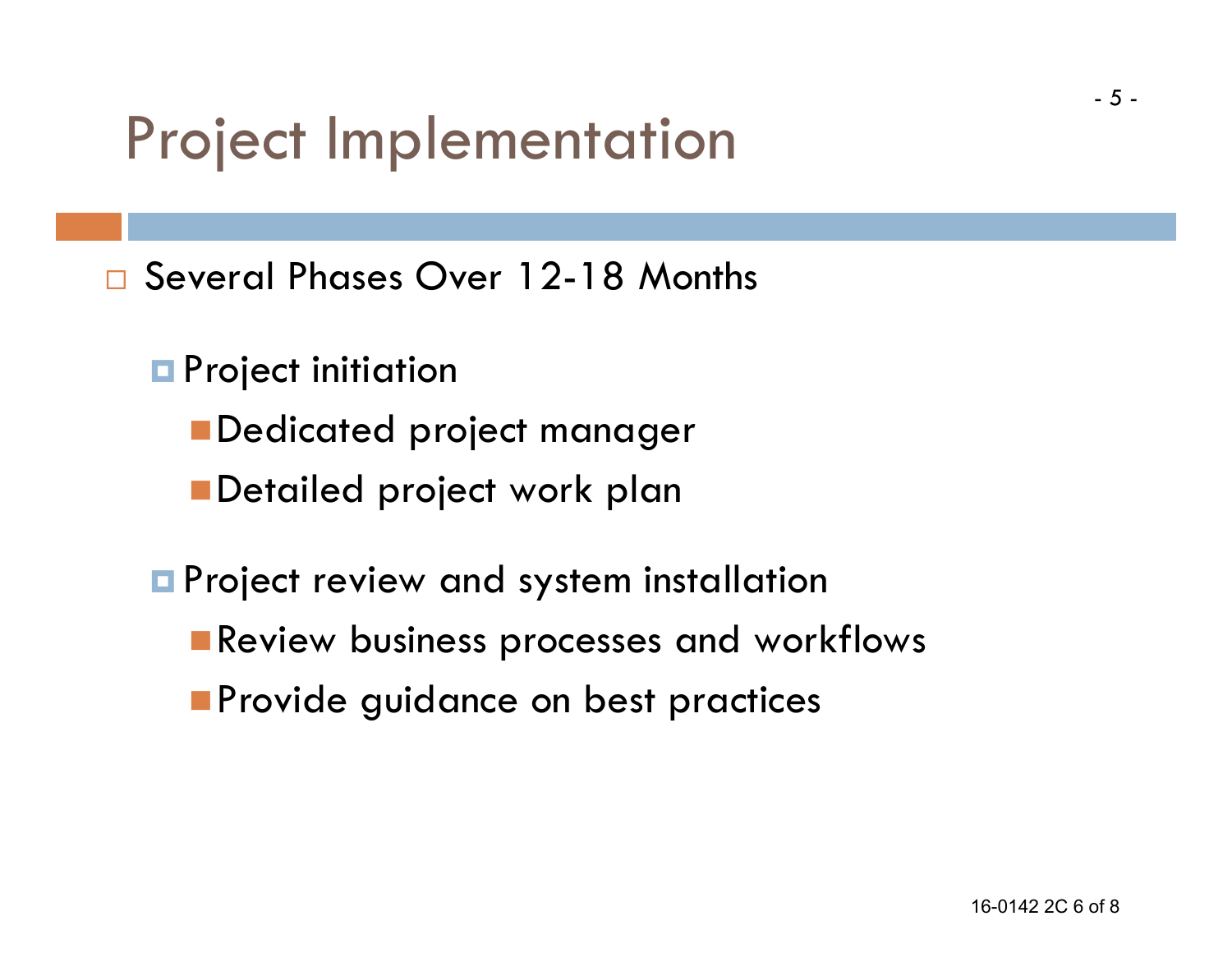### Project Implementation

□ Several Phases Over 12-18 Months

- **Project initiation** 
	- **Dedicated project manager**
	- Detailed project work plan
- **Project review and system installation** 
	- **Review business processes and workflows**
	- **Provide guidance on best practices**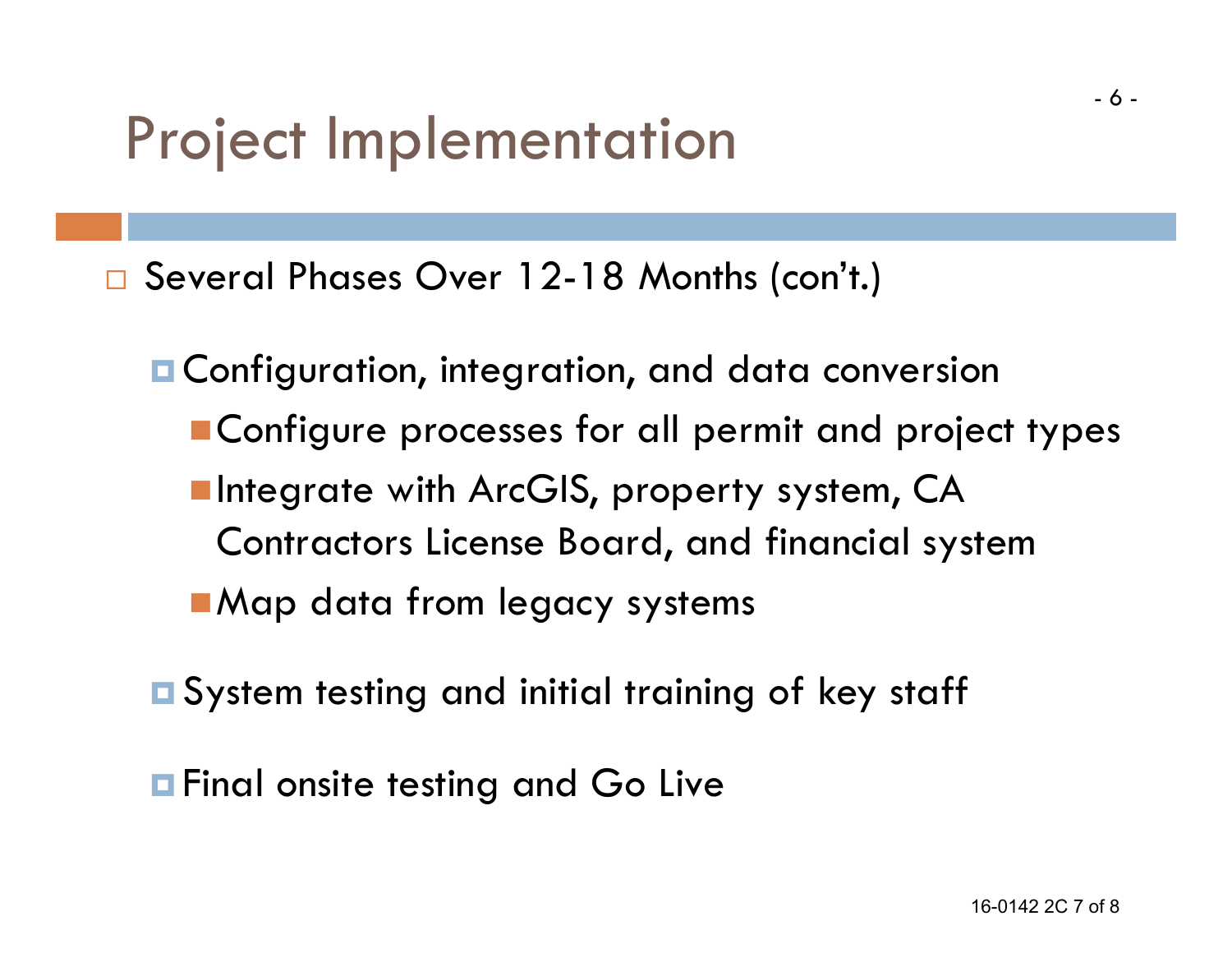### Project Implementation

Several Phases Over 12-18 Months (con't.)

- **¤ Configuration, integration, and data conversion Configure processes for all permit and project types Integrate with ArcGIS, property system, CA** Contractors License Board, and financial system ■ Map data from legacy systems
- **□ System testing and initial training of key staff**

**<u>Exalleneiste testing</u>** and Go Live